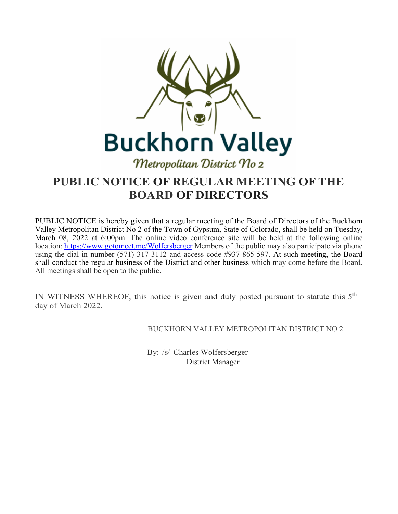

# **PUBLIC NOTICE OF REGULAR MEETING OF THE BOARD OF DIRECTORS**

PUBLIC NOTICE is hereby given that a regular meeting of the Board of Directors of the Buckhorn Valley Metropolitan District No 2 of the Town of Gypsum, State of Colorado, shall be held on Tuesday, March 08, 2022 at 6:00pm. The online video conference site will be held at the following online location:<https://www.gotomeet.me/Wolfersberger> Members of the public may also participate via phone using the dial-in number (571) 317-3112 and access code #937-865-597. At such meeting, the Board shall conduct the regular business of the District and other business which may come before the Board. All meetings shall be open to the public.

IN WITNESS WHEREOF, this notice is given and duly posted pursuant to statute this 5<sup>th</sup> day of March 2022.

BUCKHORN VALLEY METROPOLITAN DISTRICT NO 2

By: /s/ Charles Wolfersberger\_ District Manager